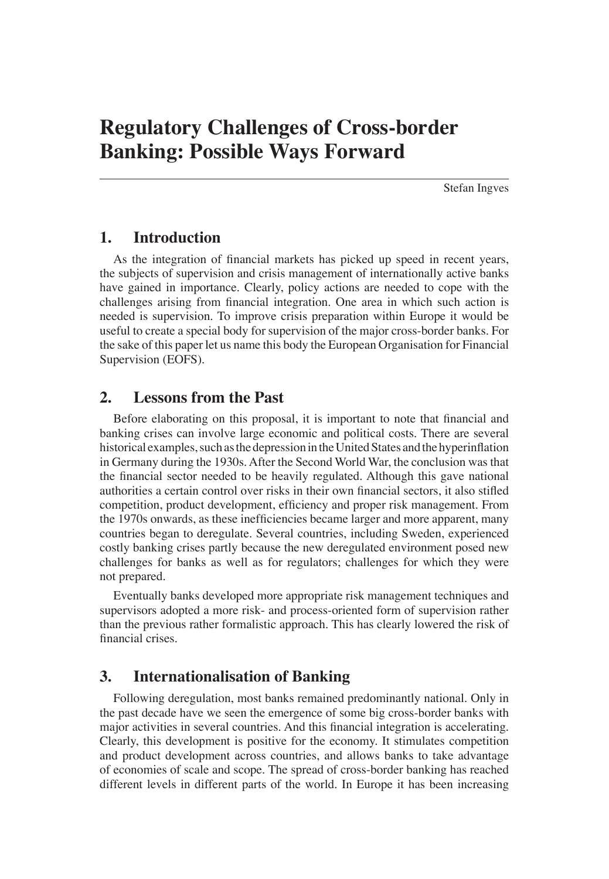Stefan Ingves

# **1. Introduction**

As the integration of financial markets has picked up speed in recent years, the subjects of supervision and crisis management of internationally active banks have gained in importance. Clearly, policy actions are needed to cope with the challenges arising from financial integration. One area in which such action is needed is supervision. To improve crisis preparation within Europe it would be useful to create a special body for supervision of the major cross-border banks. For the sake of this paper let us name this body the European Organisation for Financial Supervision (EOFS).

# **2. Lessons from the Past**

Before elaborating on this proposal, it is important to note that financial and banking crises can involve large economic and political costs. There are several historical examples, such as the depression in the United States and the hyperinflation in Germany during the 1930s. After the Second World War, the conclusion was that the financial sector needed to be heavily regulated. Although this gave national authorities a certain control over risks in their own financial sectors, it also stifled competition, product development, efficiency and proper risk management. From the 1970s onwards, as these inefficiencies became larger and more apparent, many countries began to deregulate. Several countries, including Sweden, experienced costly banking crises partly because the new deregulated environment posed new challenges for banks as well as for regulators; challenges for which they were not prepared.

Eventually banks developed more appropriate risk management techniques and supervisors adopted a more risk- and process-oriented form of supervision rather than the previous rather formalistic approach. This has clearly lowered the risk of financial crises.

# **3. Internationalisation of Banking**

Following deregulation, most banks remained predominantly national. Only in the past decade have we seen the emergence of some big cross-border banks with major activities in several countries. And this financial integration is accelerating. Clearly, this development is positive for the economy. It stimulates competition and product development across countries, and allows banks to take advantage of economies of scale and scope. The spread of cross-border banking has reached different levels in different parts of the world. In Europe it has been increasing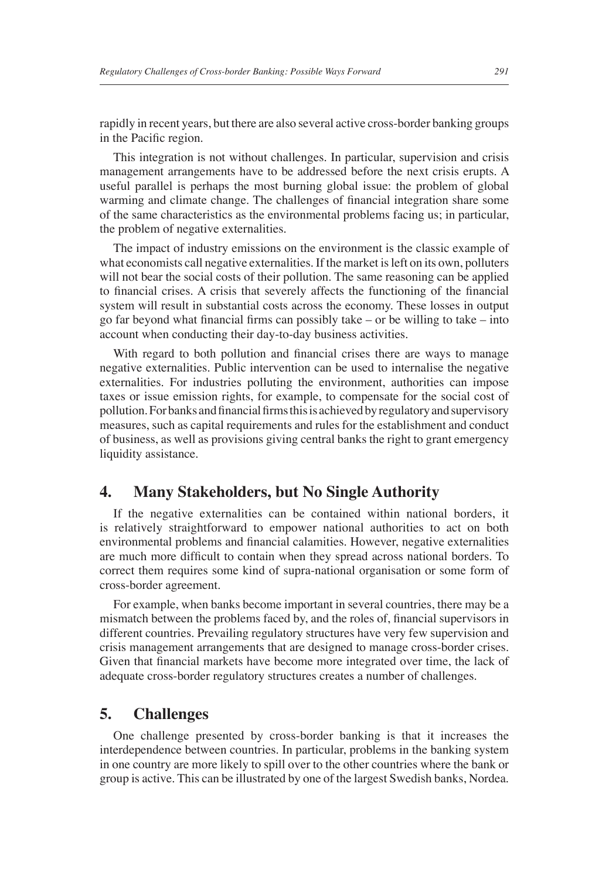rapidly in recent years, but there are also several active cross-border banking groups in the Pacific region.

This integration is not without challenges. In particular, supervision and crisis management arrangements have to be addressed before the next crisis erupts. A useful parallel is perhaps the most burning global issue: the problem of global warming and climate change. The challenges of financial integration share some of the same characteristics as the environmental problems facing us; in particular, the problem of negative externalities.

The impact of industry emissions on the environment is the classic example of what economists call negative externalities. If the market is left on its own, polluters will not bear the social costs of their pollution. The same reasoning can be applied to financial crises. A crisis that severely affects the functioning of the financial system will result in substantial costs across the economy. These losses in output go far beyond what financial firms can possibly take – or be willing to take – into account when conducting their day-to-day business activities.

With regard to both pollution and financial crises there are ways to manage negative externalities. Public intervention can be used to internalise the negative externalities. For industries polluting the environment, authorities can impose taxes or issue emission rights, for example, to compensate for the social cost of pollution. For banks and financial firms this is achieved by regulatory and supervisory measures, such as capital requirements and rules for the establishment and conduct of business, as well as provisions giving central banks the right to grant emergency liquidity assistance.

## **4. Many Stakeholders, but No Single Authority**

If the negative externalities can be contained within national borders, it is relatively straightforward to empower national authorities to act on both environmental problems and financial calamities. However, negative externalities are much more difficult to contain when they spread across national borders. To correct them requires some kind of supra-national organisation or some form of cross-border agreement.

For example, when banks become important in several countries, there may be a mismatch between the problems faced by, and the roles of, financial supervisors in different countries. Prevailing regulatory structures have very few supervision and crisis management arrangements that are designed to manage cross-border crises. Given that financial markets have become more integrated over time, the lack of adequate cross-border regulatory structures creates a number of challenges.

### **5. Challenges**

One challenge presented by cross-border banking is that it increases the interdependence between countries. In particular, problems in the banking system in one country are more likely to spill over to the other countries where the bank or group is active. This can be illustrated by one of the largest Swedish banks, Nordea.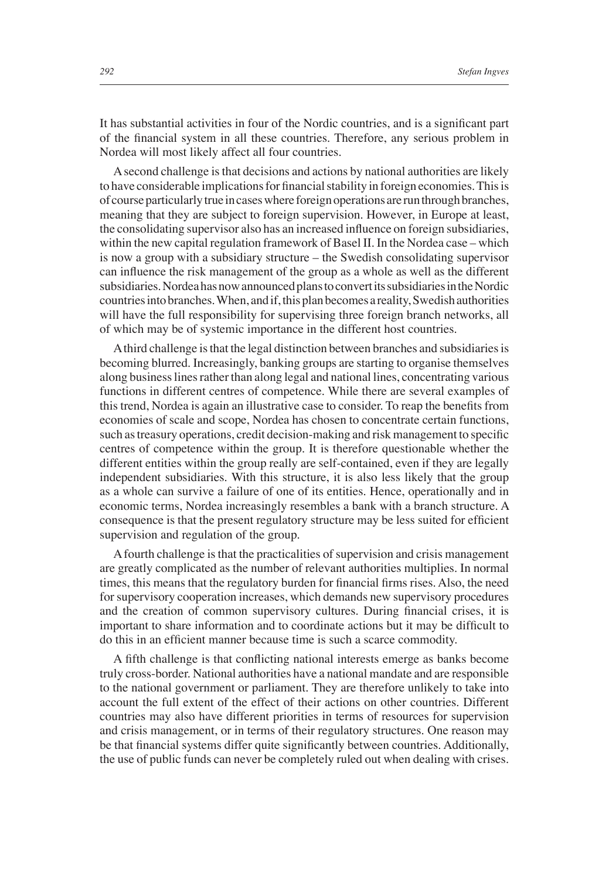It has substantial activities in four of the Nordic countries, and is a significant part of the financial system in all these countries. Therefore, any serious problem in Nordea will most likely affect all four countries.

A second challenge is that decisions and actions by national authorities are likely to have considerable implications for financial stability in foreign economies. This is of course particularly true in cases where foreign operations are run through branches, meaning that they are subject to foreign supervision. However, in Europe at least, the consolidating supervisor also has an increased influence on foreign subsidiaries, within the new capital regulation framework of Basel II. In the Nordea case – which is now a group with a subsidiary structure – the Swedish consolidating supervisor can influence the risk management of the group as a whole as well as the different subsidiaries. Nordea has now announced plans to convert its subsidiaries in the Nordic countries into branches. When, and if, this plan becomes a reality, Swedish authorities will have the full responsibility for supervising three foreign branch networks, all of which may be of systemic importance in the different host countries.

A third challenge is that the legal distinction between branches and subsidiaries is becoming blurred. Increasingly, banking groups are starting to organise themselves along business lines rather than along legal and national lines, concentrating various functions in different centres of competence. While there are several examples of this trend, Nordea is again an illustrative case to consider. To reap the benefits from economies of scale and scope, Nordea has chosen to concentrate certain functions, such as treasury operations, credit decision-making and risk management to specific centres of competence within the group. It is therefore questionable whether the different entities within the group really are self-contained, even if they are legally independent subsidiaries. With this structure, it is also less likely that the group as a whole can survive a failure of one of its entities. Hence, operationally and in economic terms, Nordea increasingly resembles a bank with a branch structure. A consequence is that the present regulatory structure may be less suited for efficient supervision and regulation of the group.

A fourth challenge is that the practicalities of supervision and crisis management are greatly complicated as the number of relevant authorities multiplies. In normal times, this means that the regulatory burden for financial firms rises. Also, the need for supervisory cooperation increases, which demands new supervisory procedures and the creation of common supervisory cultures. During financial crises, it is important to share information and to coordinate actions but it may be difficult to do this in an efficient manner because time is such a scarce commodity.

A fifth challenge is that conflicting national interests emerge as banks become truly cross-border. National authorities have a national mandate and are responsible to the national government or parliament. They are therefore unlikely to take into account the full extent of the effect of their actions on other countries. Different countries may also have different priorities in terms of resources for supervision and crisis management, or in terms of their regulatory structures. One reason may be that financial systems differ quite significantly between countries. Additionally, the use of public funds can never be completely ruled out when dealing with crises.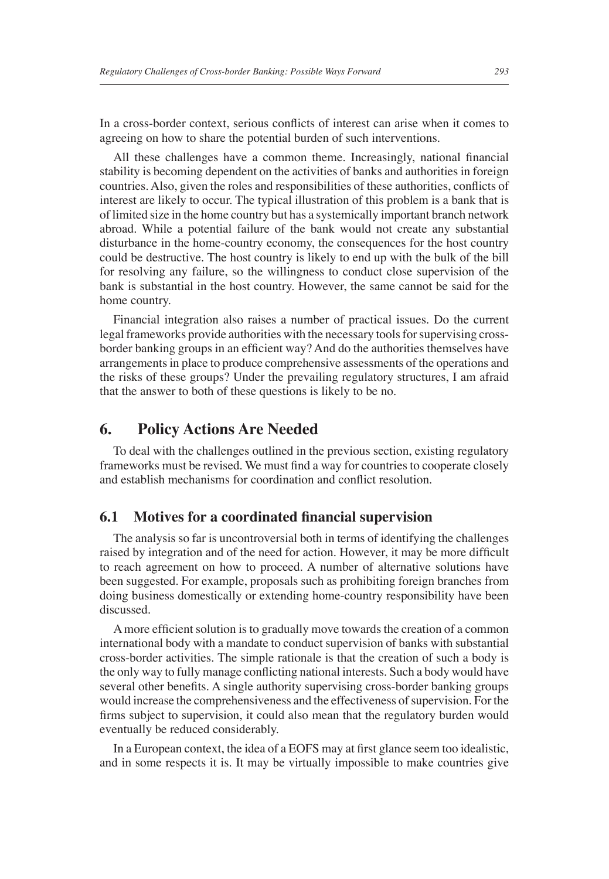In a cross-border context, serious conflicts of interest can arise when it comes to agreeing on how to share the potential burden of such interventions.

All these challenges have a common theme. Increasingly, national financial stability is becoming dependent on the activities of banks and authorities in foreign countries. Also, given the roles and responsibilities of these authorities, conflicts of interest are likely to occur. The typical illustration of this problem is a bank that is of limited size in the home country but has a systemically important branch network abroad. While a potential failure of the bank would not create any substantial disturbance in the home-country economy, the consequences for the host country could be destructive. The host country is likely to end up with the bulk of the bill for resolving any failure, so the willingness to conduct close supervision of the bank is substantial in the host country. However, the same cannot be said for the home country.

Financial integration also raises a number of practical issues. Do the current legal frameworks provide authorities with the necessary tools for supervising crossborder banking groups in an efficient way? And do the authorities themselves have arrangements in place to produce comprehensive assessments of the operations and the risks of these groups? Under the prevailing regulatory structures, I am afraid that the answer to both of these questions is likely to be no.

## **6. Policy Actions Are Needed**

To deal with the challenges outlined in the previous section, existing regulatory frameworks must be revised. We must find a way for countries to cooperate closely and establish mechanisms for coordination and conflict resolution.

#### **6.1 Motives for a coordinated financial supervision**

The analysis so far is uncontroversial both in terms of identifying the challenges raised by integration and of the need for action. However, it may be more difficult to reach agreement on how to proceed. A number of alternative solutions have been suggested. For example, proposals such as prohibiting foreign branches from doing business domestically or extending home-country responsibility have been discussed.

A more efficient solution is to gradually move towards the creation of a common international body with a mandate to conduct supervision of banks with substantial cross-border activities. The simple rationale is that the creation of such a body is the only way to fully manage conflicting national interests. Such a body would have several other benefits. A single authority supervising cross-border banking groups would increase the comprehensiveness and the effectiveness of supervision. For the firms subject to supervision, it could also mean that the regulatory burden would eventually be reduced considerably.

In a European context, the idea of a EOFS may at first glance seem too idealistic, and in some respects it is. It may be virtually impossible to make countries give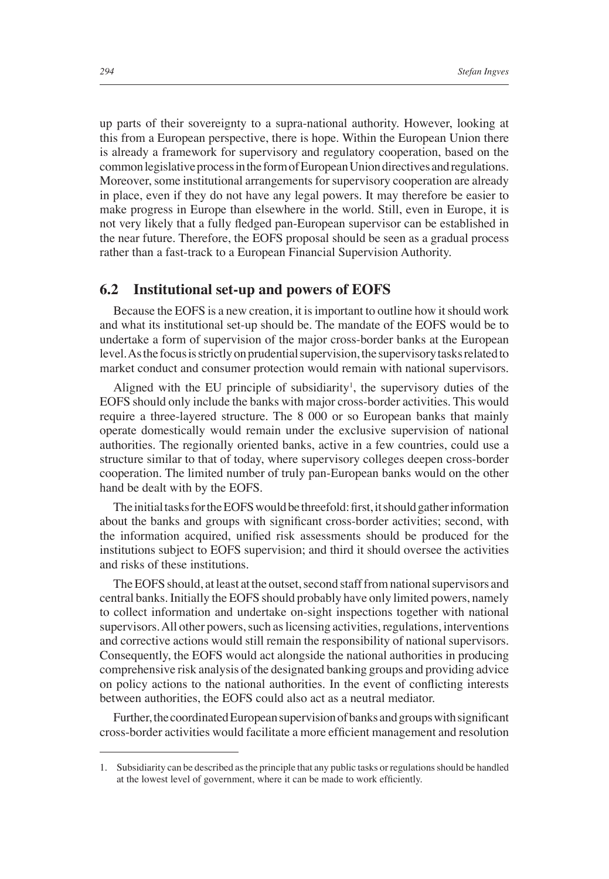up parts of their sovereignty to a supra-national authority. However, looking at this from a European perspective, there is hope. Within the European Union there is already a framework for supervisory and regulatory cooperation, based on the common legislative process in the form of European Union directives and regulations. Moreover, some institutional arrangements for supervisory cooperation are already in place, even if they do not have any legal powers. It may therefore be easier to make progress in Europe than elsewhere in the world. Still, even in Europe, it is not very likely that a fully fledged pan-European supervisor can be established in the near future. Therefore, the EOFS proposal should be seen as a gradual process rather than a fast-track to a European Financial Supervision Authority.

### **6.2 Institutional set-up and powers of EOFS**

Because the EOFS is a new creation, it is important to outline how it should work and what its institutional set-up should be. The mandate of the EOFS would be to undertake a form of supervision of the major cross-border banks at the European level. As the focus is strictly on prudential supervision, the supervisory tasks related to market conduct and consumer protection would remain with national supervisors.

Aligned with the EU principle of subsidiarity<sup>1</sup>, the supervisory duties of the EOFS should only include the banks with major cross-border activities. This would require a three-layered structure. The 8 000 or so European banks that mainly operate domestically would remain under the exclusive supervision of national authorities. The regionally oriented banks, active in a few countries, could use a structure similar to that of today, where supervisory colleges deepen cross-border cooperation. The limited number of truly pan-European banks would on the other hand be dealt with by the EOFS.

The initial tasks for the EOFS would be threefold: first, it should gather information about the banks and groups with significant cross-border activities; second, with the information acquired, unified risk assessments should be produced for the institutions subject to EOFS supervision; and third it should oversee the activities and risks of these institutions.

The EOFS should, at least at the outset, second staff from national supervisors and central banks. Initially the EOFS should probably have only limited powers, namely to collect information and undertake on-sight inspections together with national supervisors. All other powers, such as licensing activities, regulations, interventions and corrective actions would still remain the responsibility of national supervisors. Consequently, the EOFS would act alongside the national authorities in producing comprehensive risk analysis of the designated banking groups and providing advice on policy actions to the national authorities. In the event of conflicting interests between authorities, the EOFS could also act as a neutral mediator.

Further, the coordinated European supervision of banks and groups with significant cross-border activities would facilitate a more efficient management and resolution

<sup>1.</sup> Subsidiarity can be described as the principle that any public tasks or regulations should be handled at the lowest level of government, where it can be made to work efficiently.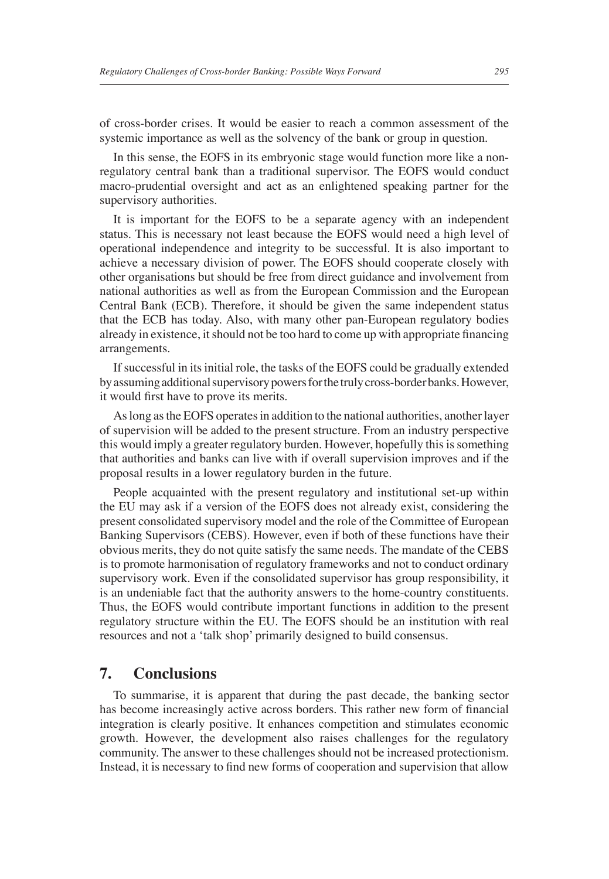of cross-border crises. It would be easier to reach a common assessment of the systemic importance as well as the solvency of the bank or group in question.

In this sense, the EOFS in its embryonic stage would function more like a nonregulatory central bank than a traditional supervisor. The EOFS would conduct macro-prudential oversight and act as an enlightened speaking partner for the supervisory authorities.

It is important for the EOFS to be a separate agency with an independent status. This is necessary not least because the EOFS would need a high level of operational independence and integrity to be successful. It is also important to achieve a necessary division of power. The EOFS should cooperate closely with other organisations but should be free from direct guidance and involvement from national authorities as well as from the European Commission and the European Central Bank (ECB). Therefore, it should be given the same independent status that the ECB has today. Also, with many other pan-European regulatory bodies already in existence, it should not be too hard to come up with appropriate financing arrangements.

If successful in its initial role, the tasks of the EOFS could be gradually extended by assuming additional supervisory powers for the truly cross-border banks. However, it would first have to prove its merits.

As long as the EOFS operates in addition to the national authorities, another layer of supervision will be added to the present structure. From an industry perspective this would imply a greater regulatory burden. However, hopefully this is something that authorities and banks can live with if overall supervision improves and if the proposal results in a lower regulatory burden in the future.

People acquainted with the present regulatory and institutional set-up within the EU may ask if a version of the EOFS does not already exist, considering the present consolidated supervisory model and the role of the Committee of European Banking Supervisors (CEBS). However, even if both of these functions have their obvious merits, they do not quite satisfy the same needs. The mandate of the CEBS is to promote harmonisation of regulatory frameworks and not to conduct ordinary supervisory work. Even if the consolidated supervisor has group responsibility, it is an undeniable fact that the authority answers to the home-country constituents. Thus, the EOFS would contribute important functions in addition to the present regulatory structure within the EU. The EOFS should be an institution with real resources and not a 'talk shop' primarily designed to build consensus.

## **7. Conclusions**

To summarise, it is apparent that during the past decade, the banking sector has become increasingly active across borders. This rather new form of financial integration is clearly positive. It enhances competition and stimulates economic growth. However, the development also raises challenges for the regulatory community. The answer to these challenges should not be increased protectionism. Instead, it is necessary to find new forms of cooperation and supervision that allow